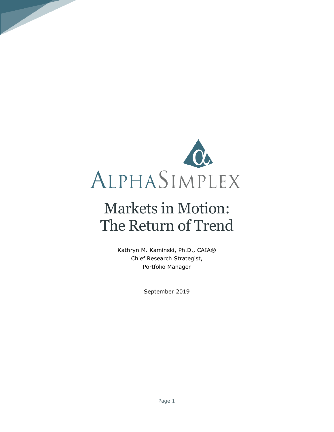

# Markets in Motion: The Return of Trend

Kathryn M. Kaminski, Ph.D., CAIA® Chief Research Strategist, Portfolio Manager

September 2019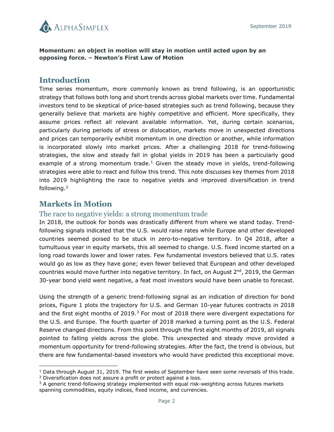

**Momentum: an object in motion will stay in motion until acted upon by an opposing force. – Newton's First Law of Motion**

#### **Introduction**

Time series momentum, more commonly known as trend following, is an opportunistic strategy that follows both long and short trends across global markets over time. Fundamental investors tend to be skeptical of price-based strategies such as trend following, because they generally believe that markets are highly competitive and efficient. More specifically, they assume prices reflect all relevant available information. Yet, during certain scenarios, particularly during periods of stress or dislocation, markets move in unexpected directions and prices can temporarily exhibit momentum in one direction or another, while information is incorporated slowly into market prices. After a challenging 2018 for trend-following strategies, the slow and steady fall in global yields in 2019 has been a particularly good example of a strong momentum trade.<sup>[1](#page-1-0)</sup> Given the steady move in yields, trend-following strategies were able to react and follow this trend. This note discusses key themes from 2018 into 2019 highlighting the race to negative yields and improved diversification in trend following. [2](#page-1-1)

#### **Markets in Motion**

l

#### The race to negative yields: a strong momentum trade

In 2018, the outlook for bonds was drastically different from where we stand today. Trendfollowing signals indicated that the U.S. would raise rates while Europe and other developed countries seemed poised to be stuck in zero-to-negative territory. In Q4 2018, after a tumultuous year in equity markets, this all seemed to change. U.S. fixed income started on a long road towards lower and lower rates. Few fundamental investors believed that U.S. rates would go as low as they have gone; even fewer believed that European and other developed countries would move further into negative territory. In fact, on August 2<sup>nd</sup>, 2019, the German 30-year bond yield went negative, a feat most investors would have been unable to forecast.

Using the strength of a generic trend-following signal as an indication of direction for bond prices, Figure 1 plots the trajectory for U.S. and German 10-year futures contracts in 2018 and the first eight months of 2019. $3$  For most of 2018 there were divergent expectations for the U.S. and Europe. The fourth quarter of 2018 marked a turning point as the U.S. Federal Reserve changed directions. From this point through the first eight months of 2019, all signals pointed to falling yields across the globe. This unexpected and steady move provided a momentum opportunity for trend-following strategies. After the fact, the trend is obvious, but there are few fundamental-based investors who would have predicted this exceptional move.

<span id="page-1-1"></span><span id="page-1-0"></span><sup>&</sup>lt;sup>1</sup> Data through August 31, 2019. The first weeks of September have seen some reversals of this trade. <sup>2</sup> Diversification does not assure a profit or protect against a loss.

<span id="page-1-2"></span><sup>&</sup>lt;sup>3</sup> A generic trend-following strategy implemented with equal risk-weighting across futures markets spanning commodities, equity indices, fixed income, and currencies.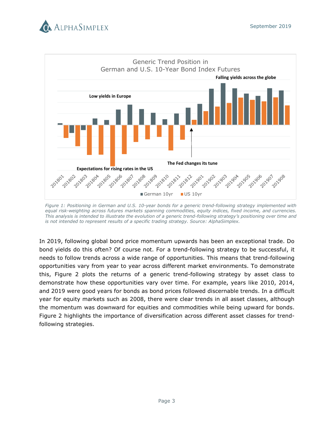



*Figure 1: Positioning in German and U.S. 10-year bonds for a generic trend-following strategy implemented with equal risk-weighting across futures markets spanning commodities, equity indices, fixed income, and currencies. This analysis is intended to illustrate the evolution of a generic trend-following strategy's positioning over time and is not intended to represent results of a specific trading strategy. Source: AlphaSimplex.*

In 2019, following global bond price momentum upwards has been an exceptional trade. Do bond yields do this often? Of course not. For a trend-following strategy to be successful, it needs to follow trends across a wide range of opportunities. This means that trend-following opportunities vary from year to year across different market environments. To demonstrate this, Figure 2 plots the returns of a generic trend-following strategy by asset class to demonstrate how these opportunities vary over time. For example, years like 2010, 2014, and 2019 were good years for bonds as bond prices followed discernable trends. In a difficult year for equity markets such as 2008, there were clear trends in all asset classes, although the momentum was downward for equities and commodities while being upward for bonds. Figure 2 highlights the importance of diversification across different asset classes for trendfollowing strategies.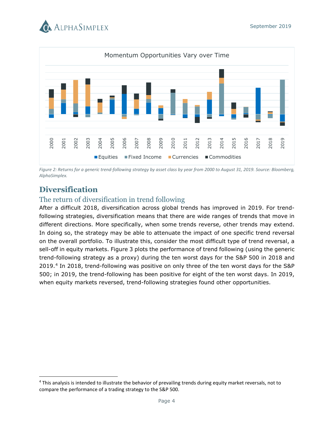



*Figure 2: Returns for a generic trend-following strategy by asset class by year from 2000 to August 31, 2019. Source: Bloomberg, AlphaSimplex.*

# **Diversification**

l

#### The return of diversification in trend following

After a difficult 2018, diversification across global trends has improved in 2019. For trendfollowing strategies, diversification means that there are wide ranges of trends that move in different directions. More specifically, when some trends reverse, other trends may extend. In doing so, the strategy may be able to attenuate the impact of one specific trend reversal on the overall portfolio. To illustrate this, consider the most difficult type of trend reversal, a sell-off in equity markets. Figure 3 plots the performance of trend following (using the generic trend-following strategy as a proxy) during the ten worst days for the S&P 500 in 2018 and 2019. [4](#page-3-0) In 2018, trend-following was positive on only three of the ten worst days for the S&P 500; in 2019, the trend-following has been positive for eight of the ten worst days. In 2019, when equity markets reversed, trend-following strategies found other opportunities. Equities  $\frac{8}{8}$   $\frac{8}{8}$   $\frac{8}{8}$   $\frac{8}{8}$   $\frac{8}{8}$   $\frac{8}{8}$   $\frac{8}{8}$   $\frac{8}{8}$   $\frac{8}{8}$   $\frac{8}{8}$   $\frac{8}{8}$   $\frac{8}{8}$   $\frac{8}{8}$   $\frac{8}{8}$   $\frac{8}{8}$   $\frac{8}{8}$   $\frac{8}{8}$   $\frac{8}{8}$   $\frac{8}{8}$   $\frac{8}{8}$   $\frac{8}{8}$   $\$ 

<span id="page-3-0"></span><sup>4</sup> This analysis is intended to illustrate the behavior of prevailing trends during equity market reversals, not to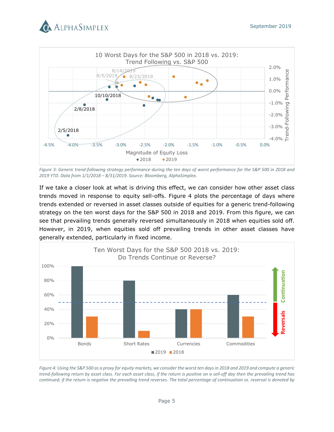



*Figure 3: Generic trend-following strategy performance during the ten days of worst performance for the S&P 500 in 2018 and 2019 YTD. Data from 1/1/2018 – 8/31/2019. Source: Bloomberg, AlphaSimplex.* 

If we take a closer look at what is driving this effect, we can consider how other asset class trends moved in response to equity sell-offs. Figure 4 plots the percentage of days where trends extended or reversed in asset classes outside of equities for a generic trend-following strategy on the ten worst days for the S&P 500 in 2018 and 2019. From this figure, we can see that prevailing trends generally reversed simultaneously in 2018 when equities sold off. However, in 2019, when equities sold off prevailing trends in other asset classes have generally extended, particularly in fixed income.



*Figure 4: Using the S&P 500 as a proxy for equity markets, we consider the worst ten days in 2018 and 2019 and compute a generic trend-following return by asset class. For each asset class, if the return is positive on a sell-off day then the prevailing trend has continued; if the return is negative the prevailing trend reverses. The total percentage of continuation vs. reversal is denoted by*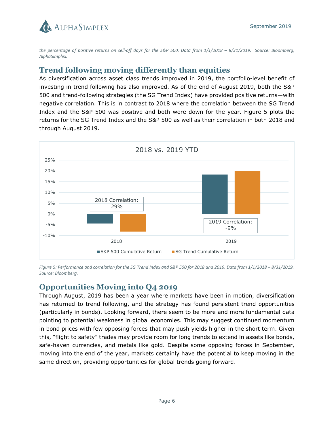

*the percentage of positive returns on sell-off days for the S&P 500. Data from 1/1/2018 – 8/31/2019. Source: Bloomberg, AlphaSimplex.*

# **Trend following moving differently than equities**

As diversification across asset class trends improved in 2019, the portfolio-level benefit of investing in trend following has also improved. As-of the end of August 2019, both the S&P 500 and trend-following strategies (the SG Trend Index) have provided positive returns—with negative correlation. This is in contrast to 2018 where the correlation between the SG Trend Index and the S&P 500 was positive and both were down for the year. Figure 5 plots the returns for the SG Trend Index and the S&P 500 as well as their correlation in both 2018 and through August 2019.



*Figure 5: Performance and correlation for the SG Trend Index and S&P 500 for 2018 and 2019. Data from 1/1/2018 – 8/31/2019. Source: Bloomberg.*

# **Opportunities Moving into Q4 2019**

Through August, 2019 has been a year where markets have been in motion, diversification has returned to trend following, and the strategy has found persistent trend opportunities (particularly in bonds). Looking forward, there seem to be more and more fundamental data pointing to potential weakness in global economies. This may suggest continued momentum in bond prices with few opposing forces that may push yields higher in the short term. Given this, "flight to safety" trades may provide room for long trends to extend in assets like bonds, safe-haven currencies, and metals like gold. Despite some opposing forces in September, moving into the end of the year, markets certainly have the potential to keep moving in the same direction, providing opportunities for global trends going forward.